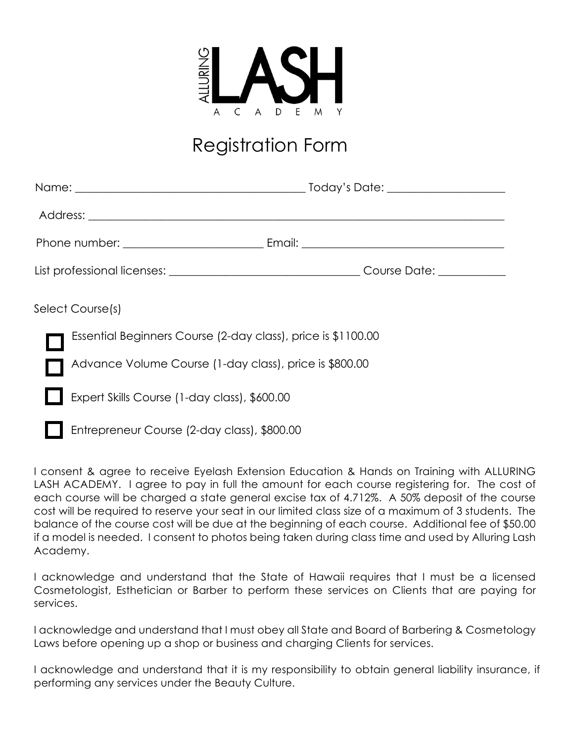

## Registration Form

| Select Course(s)                                             |  |
|--------------------------------------------------------------|--|
| Essential Beginners Course (2-day class), price is \$1100.00 |  |
| Advance Volume Course (1-day class), price is \$800.00       |  |
| Expert Skills Course (1-day class), \$600.00                 |  |
| Entrepreneur Course (2-day class), \$800.00                  |  |

I consent & agree to receive Eyelash Extension Education & Hands on Training with ALLURING LASH ACADEMY. I agree to pay in full the amount for each course registering for. The cost of each course will be charged a state general excise tax of 4.712%. A 50% deposit of the course cost will be required to reserve your seat in our limited class size of a maximum of 3 students. The balance of the course cost will be due at the beginning of each course. Additional fee of \$50.00 if a model is needed. I consent to photos being taken during class time and used by Alluring Lash Academy.

I acknowledge and understand that the State of Hawaii requires that I must be a licensed Cosmetologist, Esthetician or Barber to perform these services on Clients that are paying for services.

I acknowledge and understand that I must obey all State and Board of Barbering & Cosmetology Laws before opening up a shop or business and charging Clients for services.

I acknowledge and understand that it is my responsibility to obtain general liability insurance, if performing any services under the Beauty Culture.